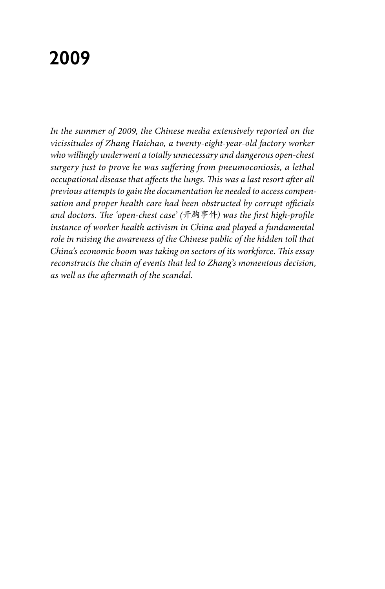# **2009**

*In the summer of 2009, the Chinese media extensively reported on the vicissitudes of Zhang Haichao, a twenty-eight-year-old factory worker who willingly underwent a totally unnecessary and dangerous open-chest surgery just to prove he was suffering from pneumoconiosis, a lethal occupational disease that affects the lungs. This was a last resort after all previous attempts to gain the documentation he needed to access compensation and proper health care had been obstructed by corrupt officials and doctors. The 'open-chest case' (*开胸事件*) was the first high-profile instance of worker health activism in China and played a fundamental role in raising the awareness of the Chinese public of the hidden toll that China's economic boom was taking on sectors of its workforce. This essay reconstructs the chain of events that led to Zhang's momentous decision, as well as the aftermath of the scandal.*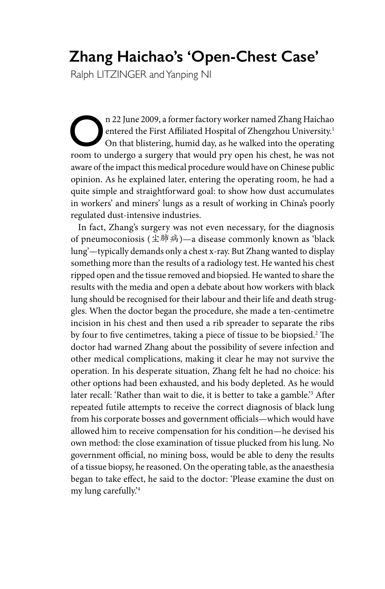## **Zhang Haichao's 'Open-Chest Case'**

Ralph LITZINGER and Yanping NI

n 22 June 2009, a former factory worker named Zhang Haichao<br>
on that blistering, humid day, as he walked into the operating<br>
room to undergo a surgery that would pry open bis chest he was not entered the First Affiliated Hospital of Zhengzhou University.1 On that blistering, humid day, as he walked into the operating room to undergo a surgery that would pry open his chest, he was not aware of the impact this medical procedure would have on Chinese public opinion. As he explained later, entering the operating room, he had a quite simple and straightforward goal: to show how dust accumulates in workers' and miners' lungs as a result of working in China's poorly regulated dust-intensive industries.

In fact, Zhang's surgery was not even necessary, for the diagnosis of pneumoconiosis (尘肺病)—a disease commonly known as 'black lung'—typically demands only a chest x-ray. But Zhang wanted to display something more than the results of a radiology test. He wanted his chest ripped open and the tissue removed and biopsied. He wanted to share the results with the media and open a debate about how workers with black lung should be recognised for their labour and their life and death struggles. When the doctor began the procedure, she made a ten-centimetre incision in his chest and then used a rib spreader to separate the ribs by four to five centimetres, taking a piece of tissue to be biopsied.2 The doctor had warned Zhang about the possibility of severe infection and other medical complications, making it clear he may not survive the operation. In his desperate situation, Zhang felt he had no choice: his other options had been exhausted, and his body depleted. As he would later recall: 'Rather than wait to die, it is better to take a gamble.'3 After repeated futile attempts to receive the correct diagnosis of black lung from his corporate bosses and government officials—which would have allowed him to receive compensation for his condition—he devised his own method: the close examination of tissue plucked from his lung. No government official, no mining boss, would be able to deny the results of a tissue biopsy, he reasoned. On the operating table, as the anaesthesia began to take effect, he said to the doctor: 'Please examine the dust on my lung carefully.'4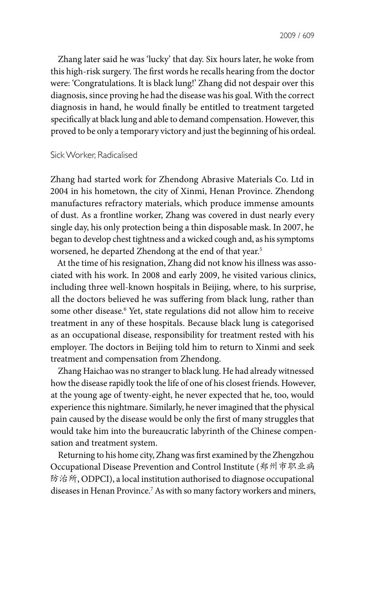Zhang later said he was 'lucky' that day. Six hours later, he woke from this high-risk surgery. The first words he recalls hearing from the doctor were: 'Congratulations. It is black lung!' Zhang did not despair over this diagnosis, since proving he had the disease was his goal. With the correct diagnosis in hand, he would finally be entitled to treatment targeted specifically at black lung and able to demand compensation. However, this proved to be only a temporary victory and just the beginning of his ordeal.

### Sick Worker, Radicalised

Zhang had started work for Zhendong Abrasive Materials Co. Ltd in 2004 in his hometown, the city of Xinmi, Henan Province. Zhendong manufactures refractory materials, which produce immense amounts of dust. As a frontline worker, Zhang was covered in dust nearly every single day, his only protection being a thin disposable mask. In 2007, he began to develop chest tightness and a wicked cough and, as his symptoms worsened, he departed Zhendong at the end of that year.<sup>5</sup>

At the time of his resignation, Zhang did not know his illness was associated with his work. In 2008 and early 2009, he visited various clinics, including three well-known hospitals in Beijing, where, to his surprise, all the doctors believed he was suffering from black lung, rather than some other disease.6 Yet, state regulations did not allow him to receive treatment in any of these hospitals. Because black lung is categorised as an occupational disease, responsibility for treatment rested with his employer. The doctors in Beijing told him to return to Xinmi and seek treatment and compensation from Zhendong.

Zhang Haichao was no stranger to black lung. He had already witnessed how the disease rapidly took the life of one of his closest friends. However, at the young age of twenty-eight, he never expected that he, too, would experience this nightmare. Similarly, he never imagined that the physical pain caused by the disease would be only the first of many struggles that would take him into the bureaucratic labyrinth of the Chinese compensation and treatment system.

Returning to his home city, Zhang was first examined by the Zhengzhou Occupational Disease Prevention and Control Institute (郑州市职业病 防治所, ODPCI), a local institution authorised to diagnose occupational diseases in Henan Province.7 As with so many factory workers and miners,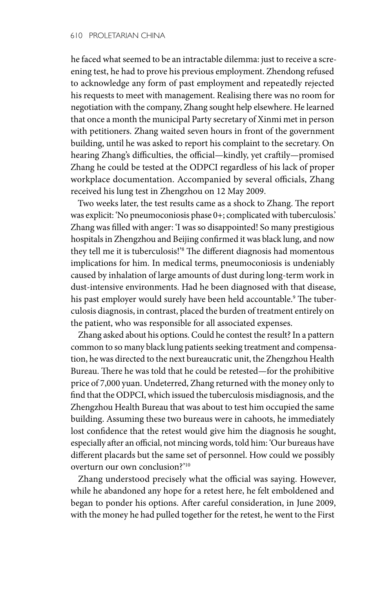he faced what seemed to be an intractable dilemma: just to receive a screening test, he had to prove his previous employment. Zhendong refused to acknowledge any form of past employment and repeatedly rejected his requests to meet with management. Realising there was no room for negotiation with the company, Zhang sought help elsewhere. He learned that once a month the municipal Party secretary of Xinmi met in person with petitioners. Zhang waited seven hours in front of the government building, until he was asked to report his complaint to the secretary. On hearing Zhang's difficulties, the official—kindly, yet craftily—promised Zhang he could be tested at the ODPCI regardless of his lack of proper workplace documentation. Accompanied by several officials, Zhang received his lung test in Zhengzhou on 12 May 2009.

Two weeks later, the test results came as a shock to Zhang. The report was explicit: 'No pneumoconiosis phase 0+; complicated with tuberculosis.' Zhang was filled with anger: 'I was so disappointed! So many prestigious hospitals in Zhengzhou and Beijing confirmed it was black lung, and now they tell me it is tuberculosis!'8 The different diagnosis had momentous implications for him. In medical terms, pneumoconiosis is undeniably caused by inhalation of large amounts of dust during long-term work in dust-intensive environments. Had he been diagnosed with that disease, his past employer would surely have been held accountable.9 The tuberculosis diagnosis, in contrast, placed the burden of treatment entirely on the patient, who was responsible for all associated expenses.

Zhang asked about his options. Could he contest the result? In a pattern common to so many black lung patients seeking treatment and compensation, he was directed to the next bureaucratic unit, the Zhengzhou Health Bureau. There he was told that he could be retested—for the prohibitive price of 7,000 yuan. Undeterred, Zhang returned with the money only to find that the ODPCI, which issued the tuberculosis misdiagnosis, and the Zhengzhou Health Bureau that was about to test him occupied the same building. Assuming these two bureaus were in cahoots, he immediately lost confidence that the retest would give him the diagnosis he sought, especially after an official, not mincing words, told him: 'Our bureaus have different placards but the same set of personnel. How could we possibly overturn our own conclusion?'10

Zhang understood precisely what the official was saying. However, while he abandoned any hope for a retest here, he felt emboldened and began to ponder his options. After careful consideration, in June 2009, with the money he had pulled together for the retest, he went to the First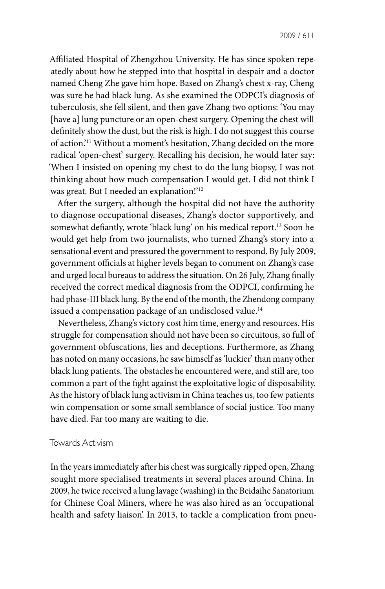Affiliated Hospital of Zhengzhou University. He has since spoken repeatedly about how he stepped into that hospital in despair and a doctor named Cheng Zhe gave him hope. Based on Zhang's chest x-ray, Cheng was sure he had black lung. As she examined the ODPCI's diagnosis of tuberculosis, she fell silent, and then gave Zhang two options: 'You may [have a] lung puncture or an open-chest surgery. Opening the chest will definitely show the dust, but the risk is high. I do not suggest this course of action.'11 Without a moment's hesitation, Zhang decided on the more radical 'open-chest' surgery. Recalling his decision, he would later say: 'When I insisted on opening my chest to do the lung biopsy, I was not thinking about how much compensation I would get. I did not think I was great. But I needed an explanation!'12

After the surgery, although the hospital did not have the authority to diagnose occupational diseases, Zhang's doctor supportively, and somewhat defiantly, wrote 'black lung' on his medical report.13 Soon he would get help from two journalists, who turned Zhang's story into a sensational event and pressured the government to respond. By July 2009, government officials at higher levels began to comment on Zhang's case and urged local bureaus to address the situation. On 26 July, Zhang finally received the correct medical diagnosis from the ODPCI, confirming he had phase-III black lung. By the end of the month, the Zhendong company issued a compensation package of an undisclosed value.<sup>14</sup>

Nevertheless, Zhang's victory cost him time, energy and resources. His struggle for compensation should not have been so circuitous, so full of government obfuscations, lies and deceptions. Furthermore, as Zhang has noted on many occasions, he saw himself as 'luckier' than many other black lung patients. The obstacles he encountered were, and still are, too common a part of the fight against the exploitative logic of disposability. As the history of black lung activism in China teaches us, too few patients win compensation or some small semblance of social justice. Too many have died. Far too many are waiting to die.

### Towards Activism

In the years immediately after his chest was surgically ripped open, Zhang sought more specialised treatments in several places around China. In 2009, he twice received a lung lavage (washing) in the Beidaihe Sanatorium for Chinese Coal Miners, where he was also hired as an 'occupational health and safety liaison'. In 2013, to tackle a complication from pneu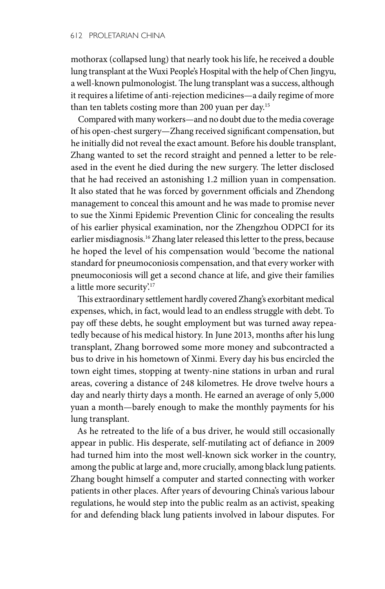mothorax (collapsed lung) that nearly took his life, he received a double lung transplant at the Wuxi People's Hospital with the help of Chen Jingyu, a well-known pulmonologist. The lung transplant was a success, although it requires a lifetime of anti-rejection medicines—a daily regime of more than ten tablets costing more than 200 yuan per day.15

Compared with many workers—and no doubt due to the media coverage of his open-chest surgery—Zhang received significant compensation, but he initially did not reveal the exact amount. Before his double transplant, Zhang wanted to set the record straight and penned a letter to be released in the event he died during the new surgery. The letter disclosed that he had received an astonishing 1.2 million yuan in compensation. It also stated that he was forced by government officials and Zhendong management to conceal this amount and he was made to promise never to sue the Xinmi Epidemic Prevention Clinic for concealing the results of his earlier physical examination, nor the Zhengzhou ODPCI for its earlier misdiagnosis.<sup>16</sup> Zhang later released this letter to the press, because he hoped the level of his compensation would 'become the national standard for pneumoconiosis compensation, and that every worker with pneumoconiosis will get a second chance at life, and give their families a little more security.<sup>17</sup>

This extraordinary settlement hardly covered Zhang's exorbitant medical expenses, which, in fact, would lead to an endless struggle with debt. To pay off these debts, he sought employment but was turned away repeatedly because of his medical history. In June 2013, months after his lung transplant, Zhang borrowed some more money and subcontracted a bus to drive in his hometown of Xinmi. Every day his bus encircled the town eight times, stopping at twenty-nine stations in urban and rural areas, covering a distance of 248 kilometres. He drove twelve hours a day and nearly thirty days a month. He earned an average of only 5,000 yuan a month—barely enough to make the monthly payments for his lung transplant.

As he retreated to the life of a bus driver, he would still occasionally appear in public. His desperate, self-mutilating act of defiance in 2009 had turned him into the most well-known sick worker in the country, among the public at large and, more crucially, among black lung patients. Zhang bought himself a computer and started connecting with worker patients in other places. After years of devouring China's various labour regulations, he would step into the public realm as an activist, speaking for and defending black lung patients involved in labour disputes. For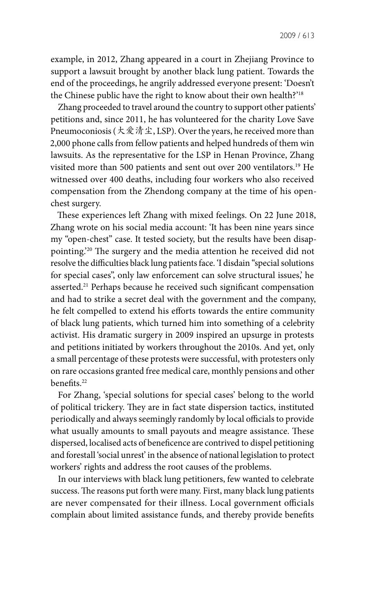example, in 2012, Zhang appeared in a court in Zhejiang Province to support a lawsuit brought by another black lung patient. Towards the end of the proceedings, he angrily addressed everyone present: 'Doesn't the Chinese public have the right to know about their own health?'18

Zhang proceeded to travel around the country to support other patients' petitions and, since 2011, he has volunteered for the charity Love Save Pneumoconiosis (大爱清尘, LSP). Over the years, he received more than 2,000 phone calls from fellow patients and helped hundreds of them win lawsuits. As the representative for the LSP in Henan Province, Zhang visited more than 500 patients and sent out over 200 ventilators.19 He witnessed over 400 deaths, including four workers who also received compensation from the Zhendong company at the time of his openchest surgery.

These experiences left Zhang with mixed feelings. On 22 June 2018, Zhang wrote on his social media account: 'It has been nine years since my "open-chest" case. It tested society, but the results have been disappointing.'20 The surgery and the media attention he received did not resolve the difficulties black lung patients face. 'I disdain "special solutions for special cases", only law enforcement can solve structural issues,' he asserted.<sup>21</sup> Perhaps because he received such significant compensation and had to strike a secret deal with the government and the company, he felt compelled to extend his efforts towards the entire community of black lung patients, which turned him into something of a celebrity activist. His dramatic surgery in 2009 inspired an upsurge in protests and petitions initiated by workers throughout the 2010s. And yet, only a small percentage of these protests were successful, with protesters only on rare occasions granted free medical care, monthly pensions and other benefits.22

For Zhang, 'special solutions for special cases' belong to the world of political trickery. They are in fact state dispersion tactics, instituted periodically and always seemingly randomly by local officials to provide what usually amounts to small payouts and meagre assistance. These dispersed, localised acts of beneficence are contrived to dispel petitioning and forestall 'social unrest' in the absence of national legislation to protect workers' rights and address the root causes of the problems.

In our interviews with black lung petitioners, few wanted to celebrate success. The reasons put forth were many. First, many black lung patients are never compensated for their illness. Local government officials complain about limited assistance funds, and thereby provide benefits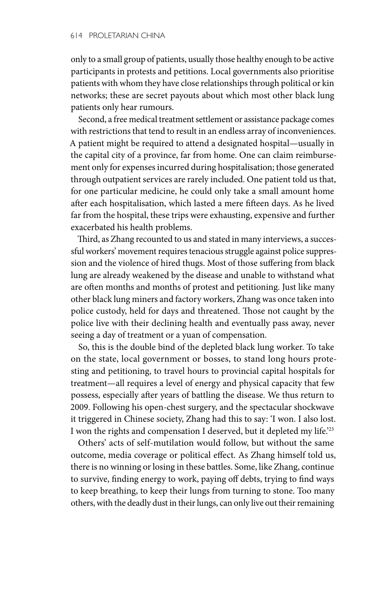only to a small group of patients, usually those healthy enough to be active participants in protests and petitions. Local governments also prioritise patients with whom they have close relationships through political or kin networks; these are secret payouts about which most other black lung patients only hear rumours.

Second, a free medical treatment settlement or assistance package comes with restrictions that tend to result in an endless array of inconveniences. A patient might be required to attend a designated hospital—usually in the capital city of a province, far from home. One can claim reimbursement only for expenses incurred during hospitalisation; those generated through outpatient services are rarely included. One patient told us that, for one particular medicine, he could only take a small amount home after each hospitalisation, which lasted a mere fifteen days. As he lived far from the hospital, these trips were exhausting, expensive and further exacerbated his health problems.

Third, as Zhang recounted to us and stated in many interviews, a successful workers' movement requires tenacious struggle against police suppression and the violence of hired thugs. Most of those suffering from black lung are already weakened by the disease and unable to withstand what are often months and months of protest and petitioning. Just like many other black lung miners and factory workers, Zhang was once taken into police custody, held for days and threatened. Those not caught by the police live with their declining health and eventually pass away, never seeing a day of treatment or a yuan of compensation.

So, this is the double bind of the depleted black lung worker. To take on the state, local government or bosses, to stand long hours protesting and petitioning, to travel hours to provincial capital hospitals for treatment—all requires a level of energy and physical capacity that few possess, especially after years of battling the disease. We thus return to 2009. Following his open-chest surgery, and the spectacular shockwave it triggered in Chinese society, Zhang had this to say: 'I won. I also lost. I won the rights and compensation I deserved, but it depleted my life.'23

Others' acts of self-mutilation would follow, but without the same outcome, media coverage or political effect. As Zhang himself told us, there is no winning or losing in these battles. Some, like Zhang, continue to survive, finding energy to work, paying off debts, trying to find ways to keep breathing, to keep their lungs from turning to stone. Too many others, with the deadly dust in their lungs, can only live out their remaining